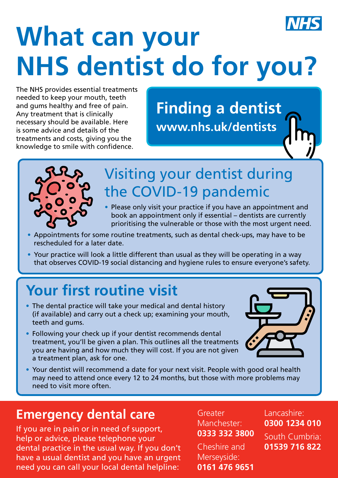# **What can your NHS dentist do for you?**

The NHS provides essential treatments needed to keep your mouth, teeth and gums healthy and free of pain. Any treatment that is clinically necessary should be available. Here is some advice and details of the treatments and costs, giving you the knowledge to smile with confidence.

**Finding a dentist [www.nhs.uk/dentists](http://www.nhs.uk/dentists)**



#### Visiting your dentist during the COVID-19 pandemic

- Please only visit your practice if you have an appointment and book an appointment only if essential – dentists are currently prioritising the vulnerable or those with the most urgent need.
- Appointments for some routine treatments, such as dental check-ups, may have to be rescheduled for a later date.
- Your practice will look a little different than usual as they will be operating in a way that observes COVID-19 social distancing and hygiene rules to ensure everyone's safety.

## **Your first routine visit**

- The dental practice will take your medical and dental history (if available) and carry out a check up; examining your mouth, teeth and gums.
- Following your check up if your dentist recommends dental treatment, you'll be given a plan. This outlines all the treatments you are having and how much they will cost. If you are not given a treatment plan, ask for one.



Your dentist will recommend a date for your next visit. People with good oral health may need to attend once every 12 to 24 months, but those with more problems may need to visit more often.

#### **Emergency dental care**

If you are in pain or in need of support, help or advice, please telephone your dental practice in the usual way. If you don't have a usual dentist and you have an urgent need you can call your local dental helpline:

**Greater** Manchester: **0333 332 3800**

Cheshire and Merseyside: **0161 476 9651** Lancashire: **0300 1234 010**

South Cumbria: **01539 716 822**